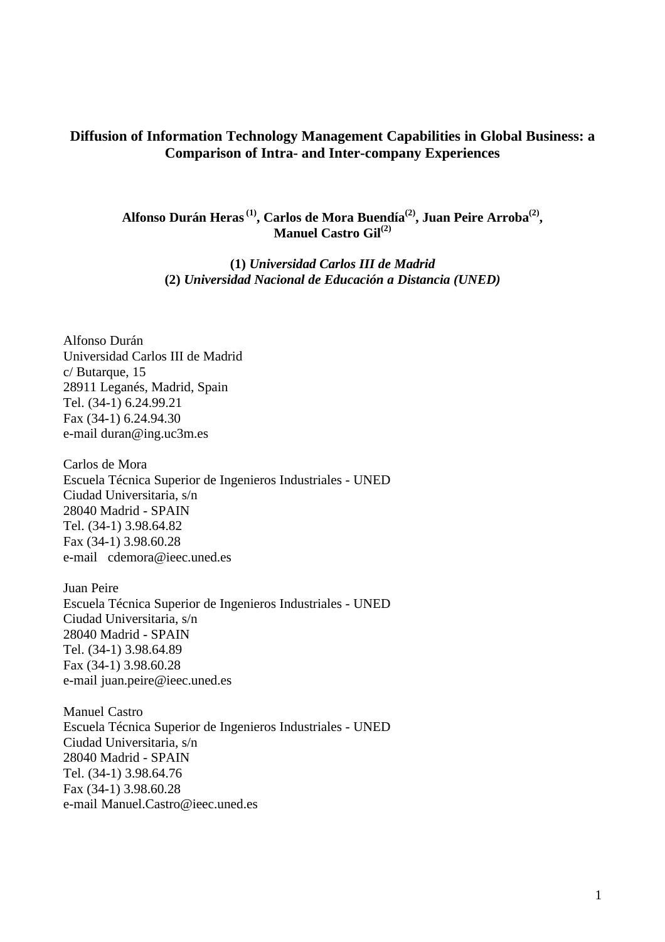#### **Diffusion of Information Technology Management Capabilities in Global Business: a Comparison of Intra- and Inter-company Experiences**

**Alfonso Durán Heras (1), Carlos de Mora Buendía(2), Juan Peire Arroba(2) , Manuel Castro Gil(2)**

> **(1)** *Universidad Carlos III de Madrid* **(2)** *Universidad Nacional de Educación a Distancia (UNED)*

Alfonso Durán Universidad Carlos III de Madrid c/ Butarque, 15 28911 Leganés, Madrid, Spain Tel. (34-1) 6.24.99.21 Fax (34-1) 6.24.94.30 e-mail duran@ing.uc3m.es

Carlos de Mora Escuela Técnica Superior de Ingenieros Industriales - UNED Ciudad Universitaria, s/n 28040 Madrid - SPAIN Tel. (34-1) 3.98.64.82 Fax (34-1) 3.98.60.28 e-mail cdemora@ieec.uned.es

Juan Peire Escuela Técnica Superior de Ingenieros Industriales - UNED Ciudad Universitaria, s/n 28040 Madrid - SPAIN Tel. (34-1) 3.98.64.89 Fax (34-1) 3.98.60.28 e-mail juan.peire@ieec.uned.es

Manuel Castro Escuela Técnica Superior de Ingenieros Industriales - UNED Ciudad Universitaria, s/n 28040 Madrid - SPAIN Tel. (34-1) 3.98.64.76 Fax (34-1) 3.98.60.28 e-mail Manuel.Castro@ieec.uned.es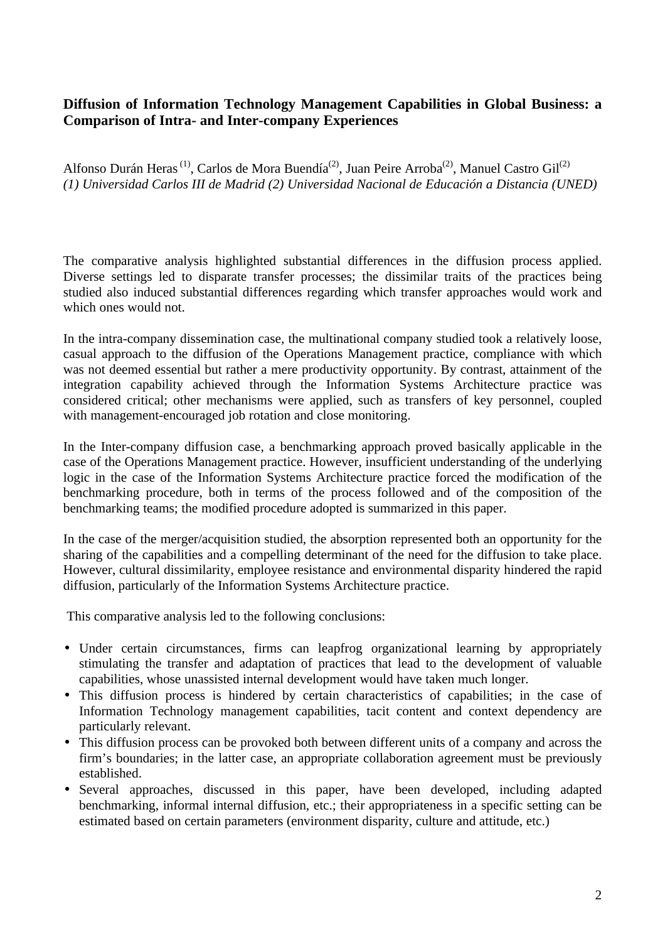### **Diffusion of Information Technology Management Capabilities in Global Business: a Comparison of Intra- and Inter-company Experiences**

Alfonso Durán Heras<sup>(1)</sup>, Carlos de Mora Buendía<sup>(2)</sup>, Juan Peire Arroba<sup>(2)</sup>, Manuel Castro Gil<sup>(2)</sup> *(1) Universidad Carlos III de Madrid (2) Universidad Nacional de Educación a Distancia (UNED)*

The comparative analysis highlighted substantial differences in the diffusion process applied. Diverse settings led to disparate transfer processes; the dissimilar traits of the practices being studied also induced substantial differences regarding which transfer approaches would work and which ones would not.

In the intra-company dissemination case, the multinational company studied took a relatively loose, casual approach to the diffusion of the Operations Management practice, compliance with which was not deemed essential but rather a mere productivity opportunity. By contrast, attainment of the integration capability achieved through the Information Systems Architecture practice was considered critical; other mechanisms were applied, such as transfers of key personnel, coupled with management-encouraged job rotation and close monitoring.

In the Inter-company diffusion case, a benchmarking approach proved basically applicable in the case of the Operations Management practice. However, insufficient understanding of the underlying logic in the case of the Information Systems Architecture practice forced the modification of the benchmarking procedure, both in terms of the process followed and of the composition of the benchmarking teams; the modified procedure adopted is summarized in this paper.

In the case of the merger/acquisition studied, the absorption represented both an opportunity for the sharing of the capabilities and a compelling determinant of the need for the diffusion to take place. However, cultural dissimilarity, employee resistance and environmental disparity hindered the rapid diffusion, particularly of the Information Systems Architecture practice.

This comparative analysis led to the following conclusions:

- Under certain circumstances, firms can leapfrog organizational learning by appropriately stimulating the transfer and adaptation of practices that lead to the development of valuable capabilities, whose unassisted internal development would have taken much longer.
- This diffusion process is hindered by certain characteristics of capabilities; in the case of Information Technology management capabilities, tacit content and context dependency are particularly relevant.
- This diffusion process can be provoked both between different units of a company and across the firm's boundaries; in the latter case, an appropriate collaboration agreement must be previously established.
- Several approaches, discussed in this paper, have been developed, including adapted benchmarking, informal internal diffusion, etc.; their appropriateness in a specific setting can be estimated based on certain parameters (environment disparity, culture and attitude, etc.)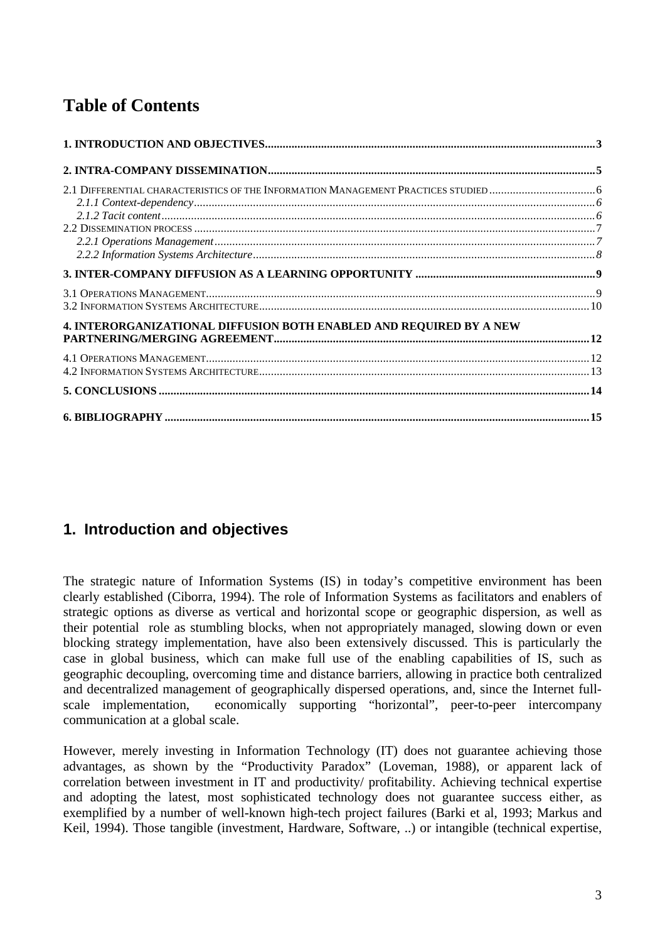# **Table of Contents**

| 4. INTERORGANIZATIONAL DIFFUSION BOTH ENABLED AND REQUIRED BY A NEW |  |
|---------------------------------------------------------------------|--|
|                                                                     |  |
|                                                                     |  |
|                                                                     |  |
|                                                                     |  |

# **1. Introduction and objectives**

The strategic nature of Information Systems (IS) in today's competitive environment has been clearly established (Ciborra, 1994). The role of Information Systems as facilitators and enablers of strategic options as diverse as vertical and horizontal scope or geographic dispersion, as well as their potential role as stumbling blocks, when not appropriately managed, slowing down or even blocking strategy implementation, have also been extensively discussed. This is particularly the case in global business, which can make full use of the enabling capabilities of IS, such as geographic decoupling, overcoming time and distance barriers, allowing in practice both centralized and decentralized management of geographically dispersed operations, and, since the Internet fullscale implementation, economically supporting "horizontal", peer-to-peer intercompany communication at a global scale.

However, merely investing in Information Technology (IT) does not guarantee achieving those advantages, as shown by the "Productivity Paradox" (Loveman, 1988), or apparent lack of correlation between investment in IT and productivity/ profitability. Achieving technical expertise and adopting the latest, most sophisticated technology does not guarantee success either, as exemplified by a number of well-known high-tech project failures (Barki et al, 1993; Markus and Keil, 1994). Those tangible (investment, Hardware, Software, ..) or intangible (technical expertise,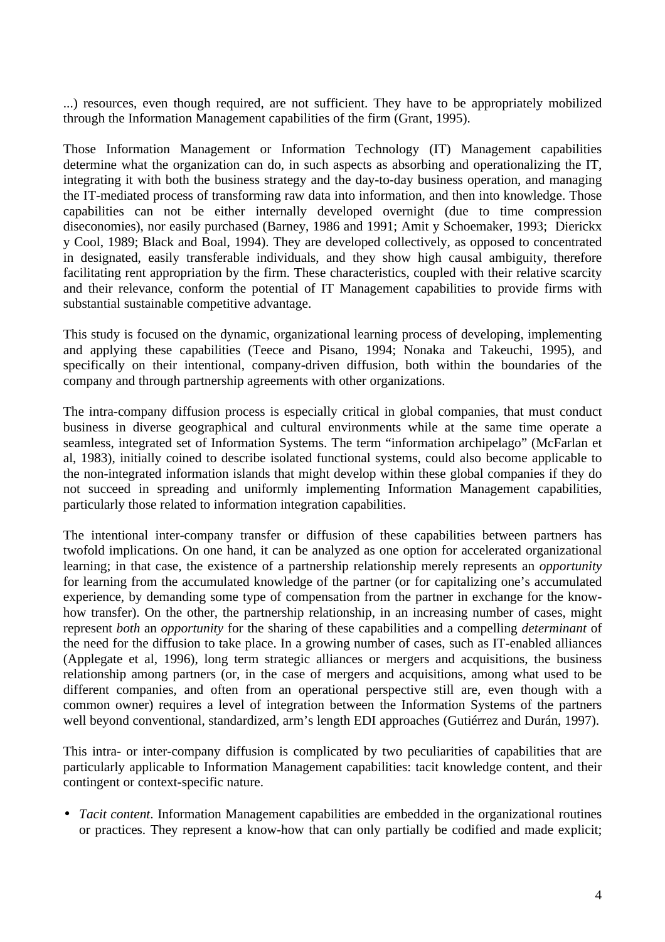...) resources, even though required, are not sufficient. They have to be appropriately mobilized through the Information Management capabilities of the firm (Grant, 1995).

Those Information Management or Information Technology (IT) Management capabilities determine what the organization can do, in such aspects as absorbing and operationalizing the IT, integrating it with both the business strategy and the day-to-day business operation, and managing the IT-mediated process of transforming raw data into information, and then into knowledge. Those capabilities can not be either internally developed overnight (due to time compression diseconomies), nor easily purchased (Barney, 1986 and 1991; Amit y Schoemaker, 1993; Dierickx y Cool, 1989; Black and Boal, 1994). They are developed collectively, as opposed to concentrated in designated, easily transferable individuals, and they show high causal ambiguity, therefore facilitating rent appropriation by the firm. These characteristics, coupled with their relative scarcity and their relevance, conform the potential of IT Management capabilities to provide firms with substantial sustainable competitive advantage.

This study is focused on the dynamic, organizational learning process of developing, implementing and applying these capabilities (Teece and Pisano, 1994; Nonaka and Takeuchi, 1995), and specifically on their intentional, company-driven diffusion, both within the boundaries of the company and through partnership agreements with other organizations.

The intra-company diffusion process is especially critical in global companies, that must conduct business in diverse geographical and cultural environments while at the same time operate a seamless, integrated set of Information Systems. The term "information archipelago" (McFarlan et al, 1983), initially coined to describe isolated functional systems, could also become applicable to the non-integrated information islands that might develop within these global companies if they do not succeed in spreading and uniformly implementing Information Management capabilities, particularly those related to information integration capabilities.

The intentional inter-company transfer or diffusion of these capabilities between partners has twofold implications. On one hand, it can be analyzed as one option for accelerated organizational learning; in that case, the existence of a partnership relationship merely represents an *opportunity* for learning from the accumulated knowledge of the partner (or for capitalizing one's accumulated experience, by demanding some type of compensation from the partner in exchange for the knowhow transfer). On the other, the partnership relationship, in an increasing number of cases, might represent *both* an *opportunity* for the sharing of these capabilities and a compelling *determinant* of the need for the diffusion to take place. In a growing number of cases, such as IT-enabled alliances (Applegate et al, 1996), long term strategic alliances or mergers and acquisitions, the business relationship among partners (or, in the case of mergers and acquisitions, among what used to be different companies, and often from an operational perspective still are, even though with a common owner) requires a level of integration between the Information Systems of the partners well beyond conventional, standardized, arm's length EDI approaches (Gutiérrez and Durán, 1997).

This intra- or inter-company diffusion is complicated by two peculiarities of capabilities that are particularly applicable to Information Management capabilities: tacit knowledge content, and their contingent or context-specific nature.

• *Tacit content*. Information Management capabilities are embedded in the organizational routines or practices. They represent a know-how that can only partially be codified and made explicit;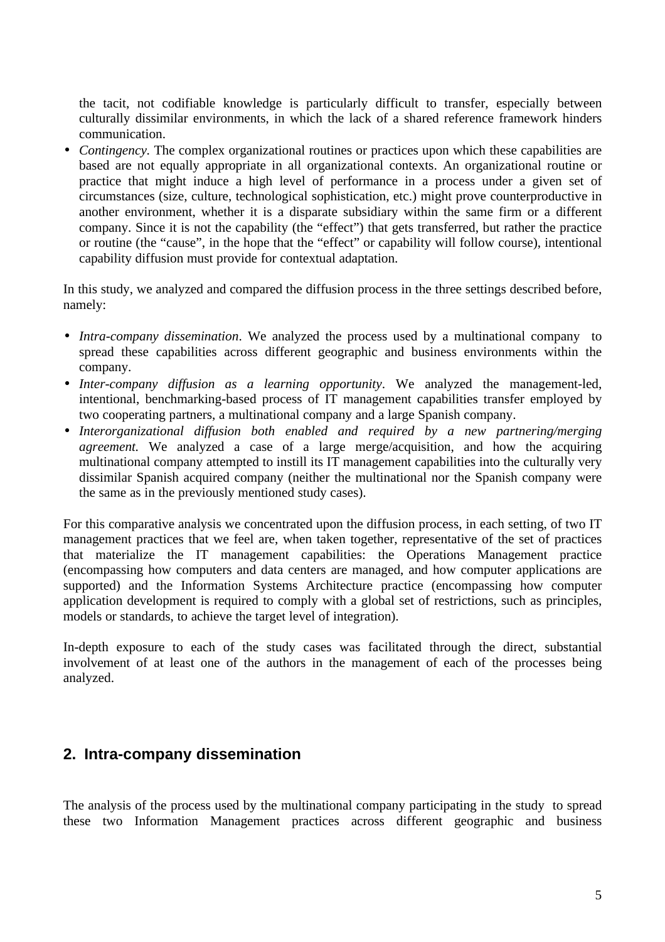the tacit, not codifiable knowledge is particularly difficult to transfer, especially between culturally dissimilar environments, in which the lack of a shared reference framework hinders communication.

• *Contingency*. The complex organizational routines or practices upon which these capabilities are based are not equally appropriate in all organizational contexts. An organizational routine or practice that might induce a high level of performance in a process under a given set of circumstances (size, culture, technological sophistication, etc.) might prove counterproductive in another environment, whether it is a disparate subsidiary within the same firm or a different company. Since it is not the capability (the "effect") that gets transferred, but rather the practice or routine (the "cause", in the hope that the "effect" or capability will follow course), intentional capability diffusion must provide for contextual adaptation.

In this study, we analyzed and compared the diffusion process in the three settings described before, namely:

- *Intra-company dissemination*. We analyzed the process used by a multinational company to spread these capabilities across different geographic and business environments within the company.
- *Inter-company diffusion as a learning opportunity*. We analyzed the management-led, intentional, benchmarking-based process of IT management capabilities transfer employed by two cooperating partners, a multinational company and a large Spanish company.
- *Interorganizational diffusion both enabled and required by a new partnering/merging agreement.* We analyzed a case of a large merge/acquisition, and how the acquiring multinational company attempted to instill its IT management capabilities into the culturally very dissimilar Spanish acquired company (neither the multinational nor the Spanish company were the same as in the previously mentioned study cases).

For this comparative analysis we concentrated upon the diffusion process, in each setting, of two IT management practices that we feel are, when taken together, representative of the set of practices that materialize the IT management capabilities: the Operations Management practice (encompassing how computers and data centers are managed, and how computer applications are supported) and the Information Systems Architecture practice (encompassing how computer application development is required to comply with a global set of restrictions, such as principles, models or standards, to achieve the target level of integration).

In-depth exposure to each of the study cases was facilitated through the direct, substantial involvement of at least one of the authors in the management of each of the processes being analyzed.

### **2. Intra-company dissemination**

The analysis of the process used by the multinational company participating in the study to spread these two Information Management practices across different geographic and business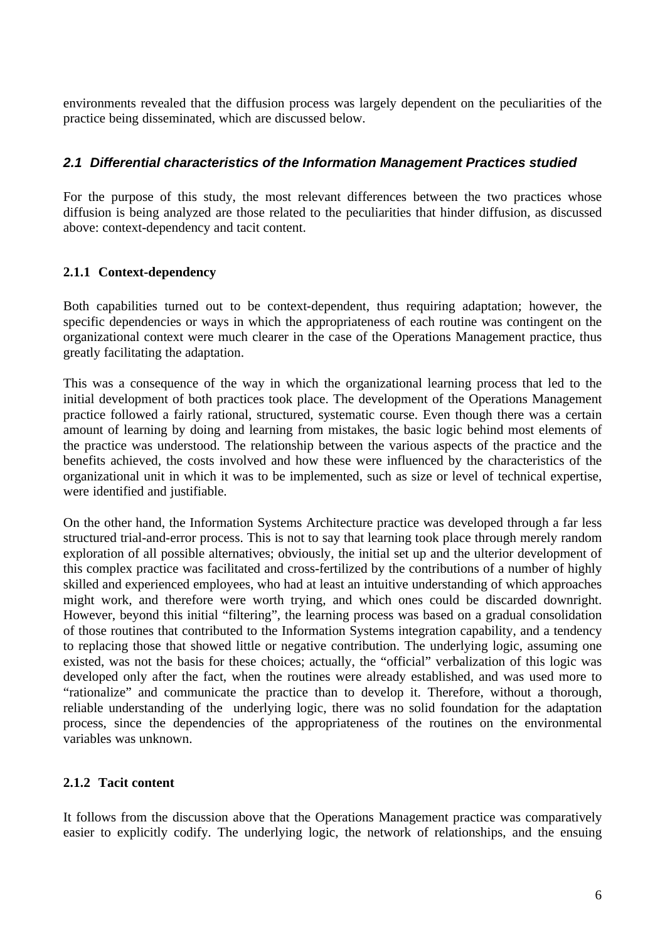environments revealed that the diffusion process was largely dependent on the peculiarities of the practice being disseminated, which are discussed below.

#### *2.1 Differential characteristics of the Information Management Practices studied*

For the purpose of this study, the most relevant differences between the two practices whose diffusion is being analyzed are those related to the peculiarities that hinder diffusion, as discussed above: context-dependency and tacit content.

#### **2.1.1 Context-dependency**

Both capabilities turned out to be context-dependent, thus requiring adaptation; however, the specific dependencies or ways in which the appropriateness of each routine was contingent on the organizational context were much clearer in the case of the Operations Management practice, thus greatly facilitating the adaptation.

This was a consequence of the way in which the organizational learning process that led to the initial development of both practices took place. The development of the Operations Management practice followed a fairly rational, structured, systematic course. Even though there was a certain amount of learning by doing and learning from mistakes, the basic logic behind most elements of the practice was understood. The relationship between the various aspects of the practice and the benefits achieved, the costs involved and how these were influenced by the characteristics of the organizational unit in which it was to be implemented, such as size or level of technical expertise, were identified and justifiable.

On the other hand, the Information Systems Architecture practice was developed through a far less structured trial-and-error process. This is not to say that learning took place through merely random exploration of all possible alternatives; obviously, the initial set up and the ulterior development of this complex practice was facilitated and cross-fertilized by the contributions of a number of highly skilled and experienced employees, who had at least an intuitive understanding of which approaches might work, and therefore were worth trying, and which ones could be discarded downright. However, beyond this initial "filtering", the learning process was based on a gradual consolidation of those routines that contributed to the Information Systems integration capability, and a tendency to replacing those that showed little or negative contribution. The underlying logic, assuming one existed, was not the basis for these choices; actually, the "official" verbalization of this logic was developed only after the fact, when the routines were already established, and was used more to "rationalize" and communicate the practice than to develop it. Therefore, without a thorough, reliable understanding of the underlying logic, there was no solid foundation for the adaptation process, since the dependencies of the appropriateness of the routines on the environmental variables was unknown.

#### **2.1.2 Tacit content**

It follows from the discussion above that the Operations Management practice was comparatively easier to explicitly codify. The underlying logic, the network of relationships, and the ensuing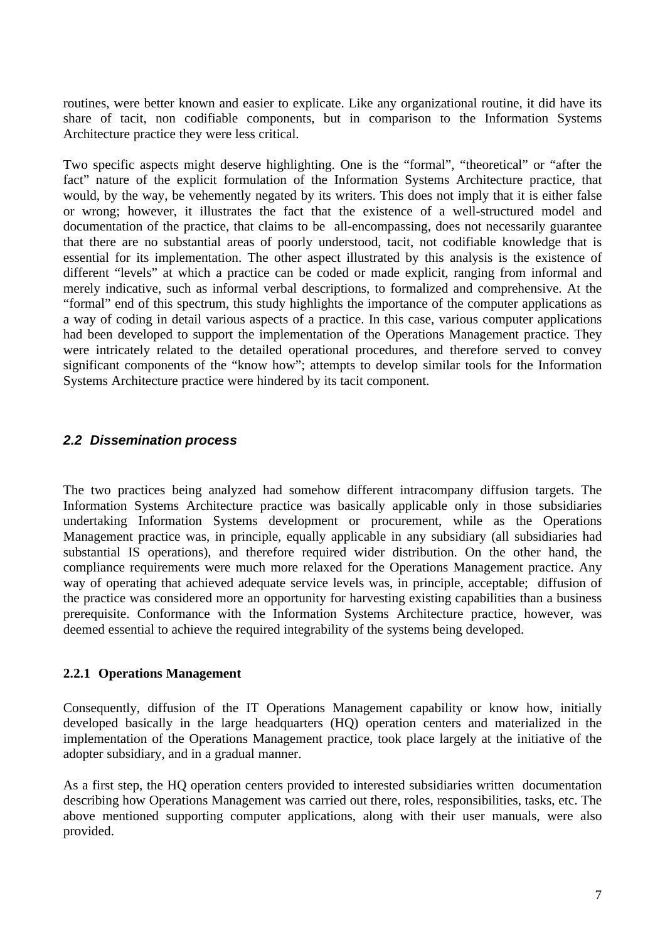routines, were better known and easier to explicate. Like any organizational routine, it did have its share of tacit, non codifiable components, but in comparison to the Information Systems Architecture practice they were less critical.

Two specific aspects might deserve highlighting. One is the "formal", "theoretical" or "after the fact" nature of the explicit formulation of the Information Systems Architecture practice, that would, by the way, be vehemently negated by its writers. This does not imply that it is either false or wrong; however, it illustrates the fact that the existence of a well-structured model and documentation of the practice, that claims to be all-encompassing, does not necessarily guarantee that there are no substantial areas of poorly understood, tacit, not codifiable knowledge that is essential for its implementation. The other aspect illustrated by this analysis is the existence of different "levels" at which a practice can be coded or made explicit, ranging from informal and merely indicative, such as informal verbal descriptions, to formalized and comprehensive. At the "formal" end of this spectrum, this study highlights the importance of the computer applications as a way of coding in detail various aspects of a practice. In this case, various computer applications had been developed to support the implementation of the Operations Management practice. They were intricately related to the detailed operational procedures, and therefore served to convey significant components of the "know how"; attempts to develop similar tools for the Information Systems Architecture practice were hindered by its tacit component.

#### *2.2 Dissemination process*

The two practices being analyzed had somehow different intracompany diffusion targets. The Information Systems Architecture practice was basically applicable only in those subsidiaries undertaking Information Systems development or procurement, while as the Operations Management practice was, in principle, equally applicable in any subsidiary (all subsidiaries had substantial IS operations), and therefore required wider distribution. On the other hand, the compliance requirements were much more relaxed for the Operations Management practice. Any way of operating that achieved adequate service levels was, in principle, acceptable; diffusion of the practice was considered more an opportunity for harvesting existing capabilities than a business prerequisite. Conformance with the Information Systems Architecture practice, however, was deemed essential to achieve the required integrability of the systems being developed.

#### **2.2.1 Operations Management**

Consequently, diffusion of the IT Operations Management capability or know how, initially developed basically in the large headquarters (HQ) operation centers and materialized in the implementation of the Operations Management practice, took place largely at the initiative of the adopter subsidiary, and in a gradual manner.

As a first step, the HQ operation centers provided to interested subsidiaries written documentation describing how Operations Management was carried out there, roles, responsibilities, tasks, etc. The above mentioned supporting computer applications, along with their user manuals, were also provided.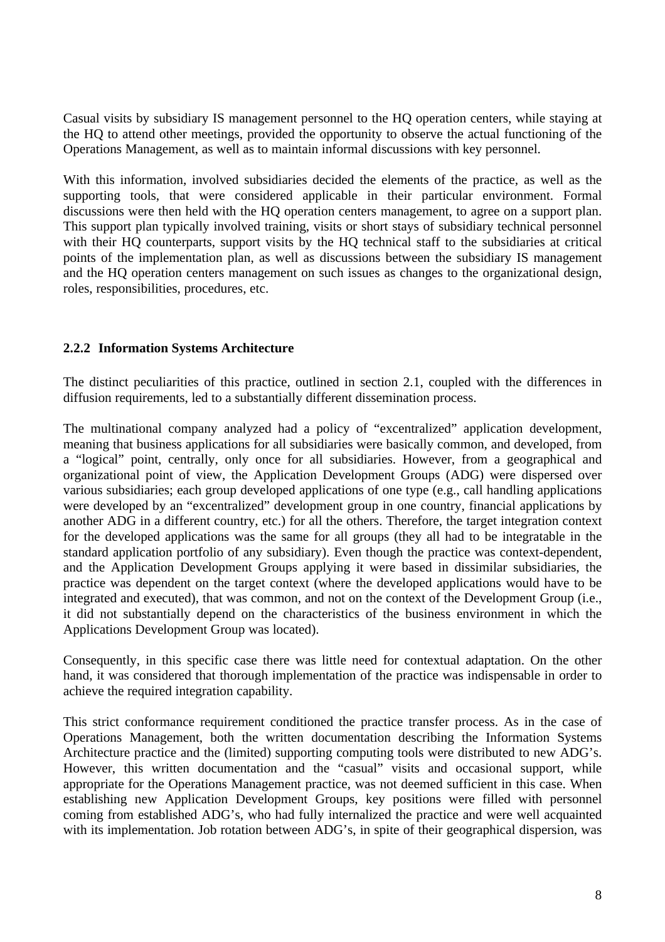Casual visits by subsidiary IS management personnel to the HQ operation centers, while staying at the HQ to attend other meetings, provided the opportunity to observe the actual functioning of the Operations Management, as well as to maintain informal discussions with key personnel.

With this information, involved subsidiaries decided the elements of the practice, as well as the supporting tools, that were considered applicable in their particular environment. Formal discussions were then held with the HQ operation centers management, to agree on a support plan. This support plan typically involved training, visits or short stays of subsidiary technical personnel with their HQ counterparts, support visits by the HQ technical staff to the subsidiaries at critical points of the implementation plan, as well as discussions between the subsidiary IS management and the HQ operation centers management on such issues as changes to the organizational design, roles, responsibilities, procedures, etc.

#### **2.2.2 Information Systems Architecture**

The distinct peculiarities of this practice, outlined in section 2.1, coupled with the differences in diffusion requirements, led to a substantially different dissemination process.

The multinational company analyzed had a policy of "excentralized" application development, meaning that business applications for all subsidiaries were basically common, and developed, from a "logical" point, centrally, only once for all subsidiaries. However, from a geographical and organizational point of view, the Application Development Groups (ADG) were dispersed over various subsidiaries; each group developed applications of one type (e.g., call handling applications were developed by an "excentralized" development group in one country, financial applications by another ADG in a different country, etc.) for all the others. Therefore, the target integration context for the developed applications was the same for all groups (they all had to be integratable in the standard application portfolio of any subsidiary). Even though the practice was context-dependent, and the Application Development Groups applying it were based in dissimilar subsidiaries, the practice was dependent on the target context (where the developed applications would have to be integrated and executed), that was common, and not on the context of the Development Group (i.e., it did not substantially depend on the characteristics of the business environment in which the Applications Development Group was located).

Consequently, in this specific case there was little need for contextual adaptation. On the other hand, it was considered that thorough implementation of the practice was indispensable in order to achieve the required integration capability.

This strict conformance requirement conditioned the practice transfer process. As in the case of Operations Management, both the written documentation describing the Information Systems Architecture practice and the (limited) supporting computing tools were distributed to new ADG's. However, this written documentation and the "casual" visits and occasional support, while appropriate for the Operations Management practice, was not deemed sufficient in this case. When establishing new Application Development Groups, key positions were filled with personnel coming from established ADG's, who had fully internalized the practice and were well acquainted with its implementation. Job rotation between ADG's, in spite of their geographical dispersion, was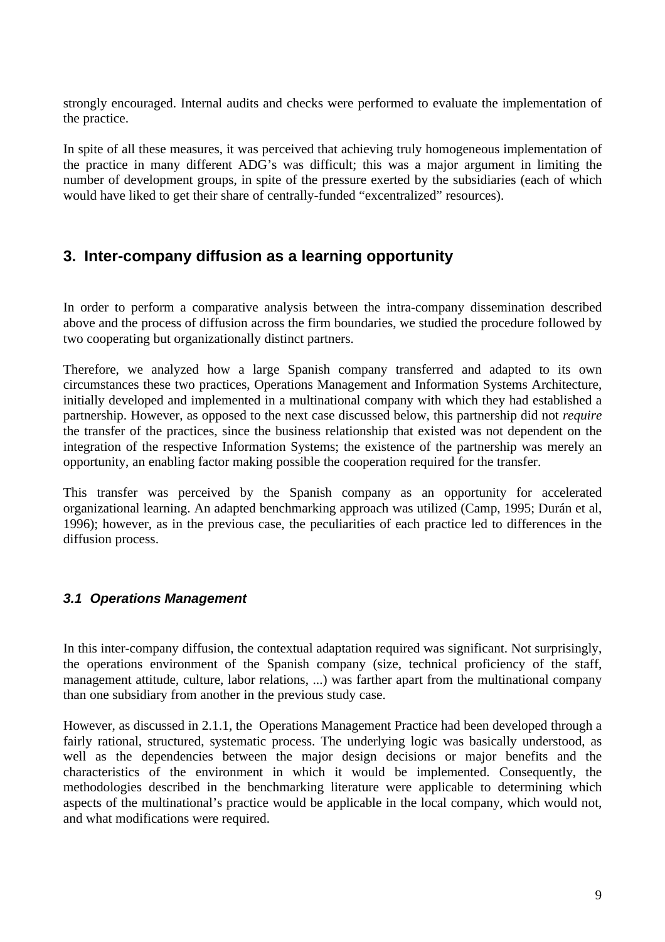strongly encouraged. Internal audits and checks were performed to evaluate the implementation of the practice.

In spite of all these measures, it was perceived that achieving truly homogeneous implementation of the practice in many different ADG's was difficult; this was a major argument in limiting the number of development groups, in spite of the pressure exerted by the subsidiaries (each of which would have liked to get their share of centrally-funded "excentralized" resources).

# **3. Inter-company diffusion as a learning opportunity**

In order to perform a comparative analysis between the intra-company dissemination described above and the process of diffusion across the firm boundaries, we studied the procedure followed by two cooperating but organizationally distinct partners.

Therefore, we analyzed how a large Spanish company transferred and adapted to its own circumstances these two practices, Operations Management and Information Systems Architecture, initially developed and implemented in a multinational company with which they had established a partnership. However, as opposed to the next case discussed below, this partnership did not *require* the transfer of the practices, since the business relationship that existed was not dependent on the integration of the respective Information Systems; the existence of the partnership was merely an opportunity, an enabling factor making possible the cooperation required for the transfer.

This transfer was perceived by the Spanish company as an opportunity for accelerated organizational learning. An adapted benchmarking approach was utilized (Camp, 1995; Durán et al, 1996); however, as in the previous case, the peculiarities of each practice led to differences in the diffusion process.

### *3.1 Operations Management*

In this inter-company diffusion, the contextual adaptation required was significant. Not surprisingly, the operations environment of the Spanish company (size, technical proficiency of the staff, management attitude, culture, labor relations, ...) was farther apart from the multinational company than one subsidiary from another in the previous study case.

However, as discussed in 2.1.1, the Operations Management Practice had been developed through a fairly rational, structured, systematic process. The underlying logic was basically understood, as well as the dependencies between the major design decisions or major benefits and the characteristics of the environment in which it would be implemented. Consequently, the methodologies described in the benchmarking literature were applicable to determining which aspects of the multinational's practice would be applicable in the local company, which would not, and what modifications were required.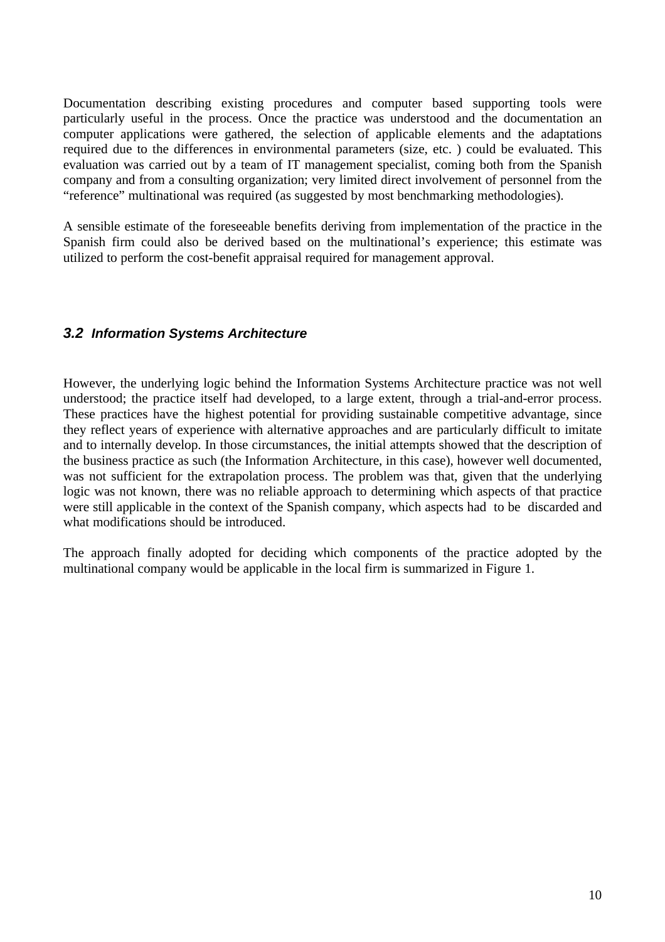Documentation describing existing procedures and computer based supporting tools were particularly useful in the process. Once the practice was understood and the documentation an computer applications were gathered, the selection of applicable elements and the adaptations required due to the differences in environmental parameters (size, etc. ) could be evaluated. This evaluation was carried out by a team of IT management specialist, coming both from the Spanish company and from a consulting organization; very limited direct involvement of personnel from the "reference" multinational was required (as suggested by most benchmarking methodologies).

A sensible estimate of the foreseeable benefits deriving from implementation of the practice in the Spanish firm could also be derived based on the multinational's experience; this estimate was utilized to perform the cost-benefit appraisal required for management approval.

#### *3.2 Information Systems Architecture*

However, the underlying logic behind the Information Systems Architecture practice was not well understood; the practice itself had developed, to a large extent, through a trial-and-error process. These practices have the highest potential for providing sustainable competitive advantage, since they reflect years of experience with alternative approaches and are particularly difficult to imitate and to internally develop. In those circumstances, the initial attempts showed that the description of the business practice as such (the Information Architecture, in this case), however well documented, was not sufficient for the extrapolation process. The problem was that, given that the underlying logic was not known, there was no reliable approach to determining which aspects of that practice were still applicable in the context of the Spanish company, which aspects had to be discarded and what modifications should be introduced.

The approach finally adopted for deciding which components of the practice adopted by the multinational company would be applicable in the local firm is summarized in Figure 1.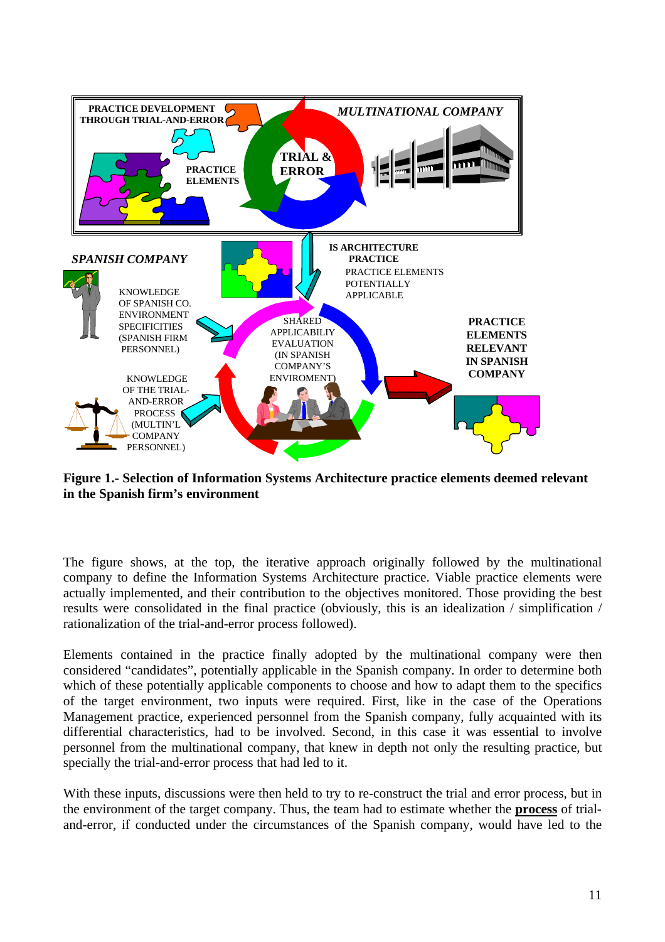

**Figure 1.- Selection of Information Systems Architecture practice elements deemed relevant in the Spanish firm's environment**

The figure shows, at the top, the iterative approach originally followed by the multinational company to define the Information Systems Architecture practice. Viable practice elements were actually implemented, and their contribution to the objectives monitored. Those providing the best results were consolidated in the final practice (obviously, this is an idealization / simplification / rationalization of the trial-and-error process followed).

Elements contained in the practice finally adopted by the multinational company were then considered "candidates", potentially applicable in the Spanish company. In order to determine both which of these potentially applicable components to choose and how to adapt them to the specifics of the target environment, two inputs were required. First, like in the case of the Operations Management practice, experienced personnel from the Spanish company, fully acquainted with its differential characteristics, had to be involved. Second, in this case it was essential to involve personnel from the multinational company, that knew in depth not only the resulting practice, but specially the trial-and-error process that had led to it.

With these inputs, discussions were then held to try to re-construct the trial and error process, but in the environment of the target company. Thus, the team had to estimate whether the **process** of trialand-error, if conducted under the circumstances of the Spanish company, would have led to the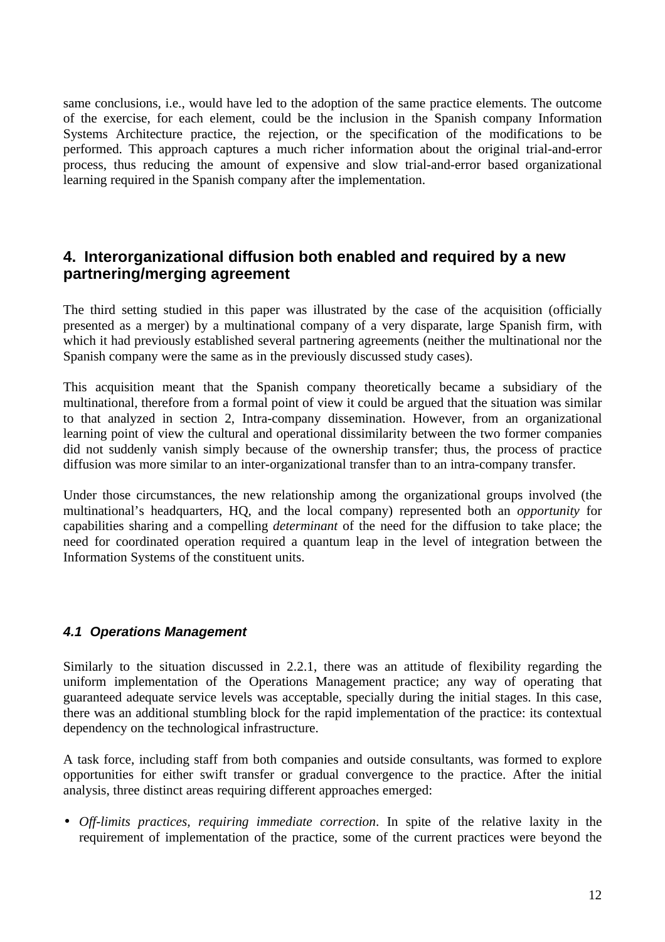same conclusions, i.e., would have led to the adoption of the same practice elements. The outcome of the exercise, for each element, could be the inclusion in the Spanish company Information Systems Architecture practice, the rejection, or the specification of the modifications to be performed. This approach captures a much richer information about the original trial-and-error process, thus reducing the amount of expensive and slow trial-and-error based organizational learning required in the Spanish company after the implementation.

## **4. Interorganizational diffusion both enabled and required by a new partnering/merging agreement**

The third setting studied in this paper was illustrated by the case of the acquisition (officially presented as a merger) by a multinational company of a very disparate, large Spanish firm, with which it had previously established several partnering agreements (neither the multinational nor the Spanish company were the same as in the previously discussed study cases).

This acquisition meant that the Spanish company theoretically became a subsidiary of the multinational, therefore from a formal point of view it could be argued that the situation was similar to that analyzed in section 2, Intra-company dissemination. However, from an organizational learning point of view the cultural and operational dissimilarity between the two former companies did not suddenly vanish simply because of the ownership transfer; thus, the process of practice diffusion was more similar to an inter-organizational transfer than to an intra-company transfer.

Under those circumstances, the new relationship among the organizational groups involved (the multinational's headquarters, HQ, and the local company) represented both an *opportunity* for capabilities sharing and a compelling *determinant* of the need for the diffusion to take place; the need for coordinated operation required a quantum leap in the level of integration between the Information Systems of the constituent units.

### *4.1 Operations Management*

Similarly to the situation discussed in 2.2.1, there was an attitude of flexibility regarding the uniform implementation of the Operations Management practice; any way of operating that guaranteed adequate service levels was acceptable, specially during the initial stages. In this case, there was an additional stumbling block for the rapid implementation of the practice: its contextual dependency on the technological infrastructure.

A task force, including staff from both companies and outside consultants, was formed to explore opportunities for either swift transfer or gradual convergence to the practice. After the initial analysis, three distinct areas requiring different approaches emerged:

• *Off-limits practices, requiring immediate correction*. In spite of the relative laxity in the requirement of implementation of the practice, some of the current practices were beyond the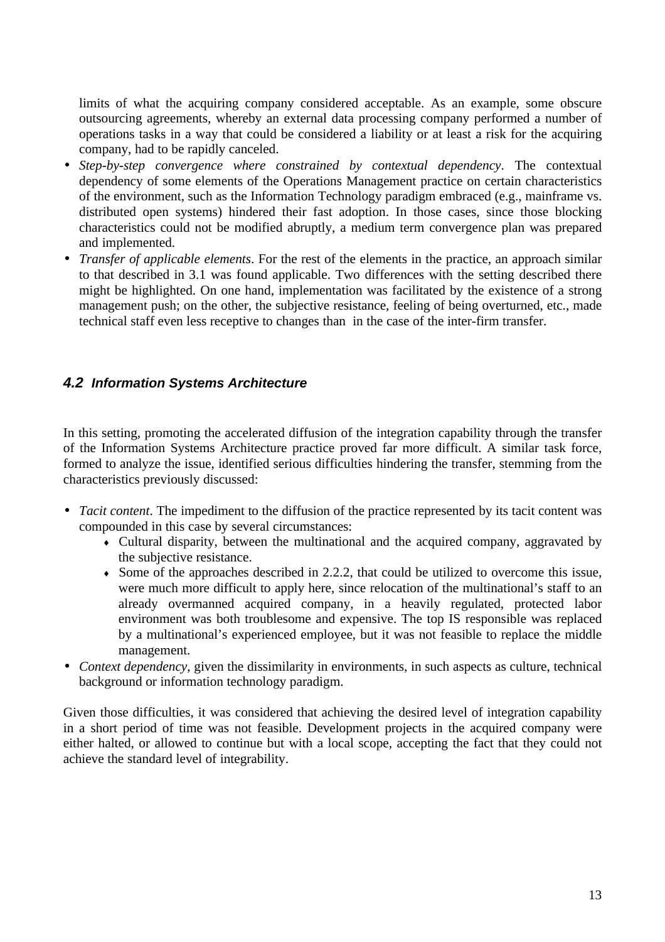limits of what the acquiring company considered acceptable. As an example, some obscure outsourcing agreements, whereby an external data processing company performed a number of operations tasks in a way that could be considered a liability or at least a risk for the acquiring company, had to be rapidly canceled.

- *Step-by-step convergence where constrained by contextual dependency*. The contextual dependency of some elements of the Operations Management practice on certain characteristics of the environment, such as the Information Technology paradigm embraced (e.g., mainframe vs. distributed open systems) hindered their fast adoption. In those cases, since those blocking characteristics could not be modified abruptly, a medium term convergence plan was prepared and implemented.
- *Transfer of applicable elements*. For the rest of the elements in the practice, an approach similar to that described in 3.1 was found applicable. Two differences with the setting described there might be highlighted. On one hand, implementation was facilitated by the existence of a strong management push; on the other, the subjective resistance, feeling of being overturned, etc., made technical staff even less receptive to changes than in the case of the inter-firm transfer.

### *4.2 Information Systems Architecture*

In this setting, promoting the accelerated diffusion of the integration capability through the transfer of the Information Systems Architecture practice proved far more difficult. A similar task force, formed to analyze the issue, identified serious difficulties hindering the transfer, stemming from the characteristics previously discussed:

- *Tacit content*. The impediment to the diffusion of the practice represented by its tacit content was compounded in this case by several circumstances:
	- Cultural disparity, between the multinational and the acquired company, aggravated by the subjective resistance.
	- $\bullet$  Some of the approaches described in 2.2.2, that could be utilized to overcome this issue, were much more difficult to apply here, since relocation of the multinational's staff to an already overmanned acquired company, in a heavily regulated, protected labor environment was both troublesome and expensive. The top IS responsible was replaced by a multinational's experienced employee, but it was not feasible to replace the middle management.
- *Context dependency*, given the dissimilarity in environments, in such aspects as culture, technical background or information technology paradigm.

Given those difficulties, it was considered that achieving the desired level of integration capability in a short period of time was not feasible. Development projects in the acquired company were either halted, or allowed to continue but with a local scope, accepting the fact that they could not achieve the standard level of integrability.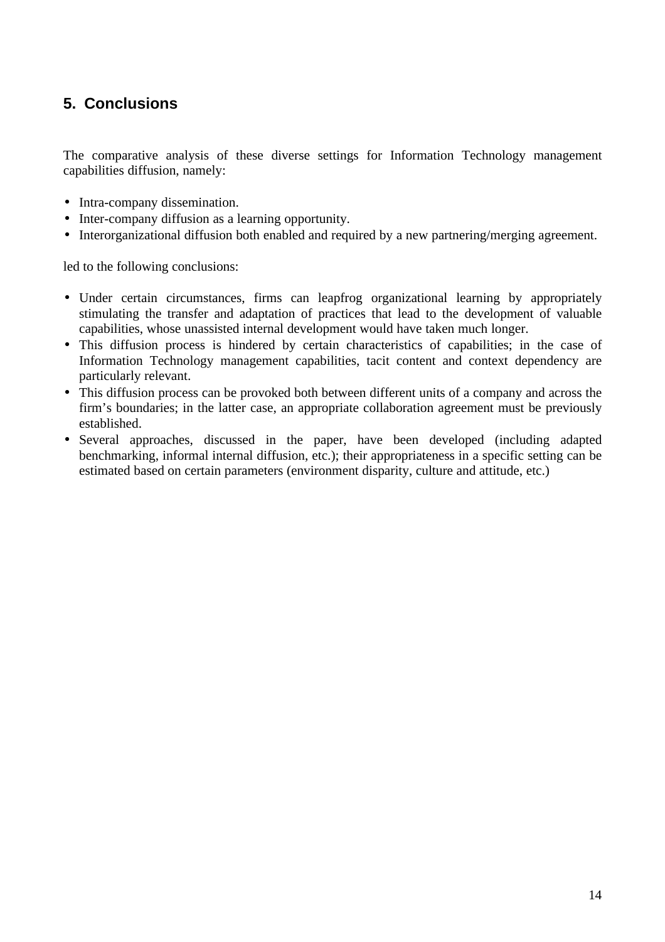# **5. Conclusions**

The comparative analysis of these diverse settings for Information Technology management capabilities diffusion, namely:

- Intra-company dissemination.
- Inter-company diffusion as a learning opportunity.
- Interorganizational diffusion both enabled and required by a new partnering/merging agreement.

led to the following conclusions:

- Under certain circumstances, firms can leapfrog organizational learning by appropriately stimulating the transfer and adaptation of practices that lead to the development of valuable capabilities, whose unassisted internal development would have taken much longer.
- This diffusion process is hindered by certain characteristics of capabilities; in the case of Information Technology management capabilities, tacit content and context dependency are particularly relevant.
- This diffusion process can be provoked both between different units of a company and across the firm's boundaries; in the latter case, an appropriate collaboration agreement must be previously established.
- Several approaches, discussed in the paper, have been developed (including adapted benchmarking, informal internal diffusion, etc.); their appropriateness in a specific setting can be estimated based on certain parameters (environment disparity, culture and attitude, etc.)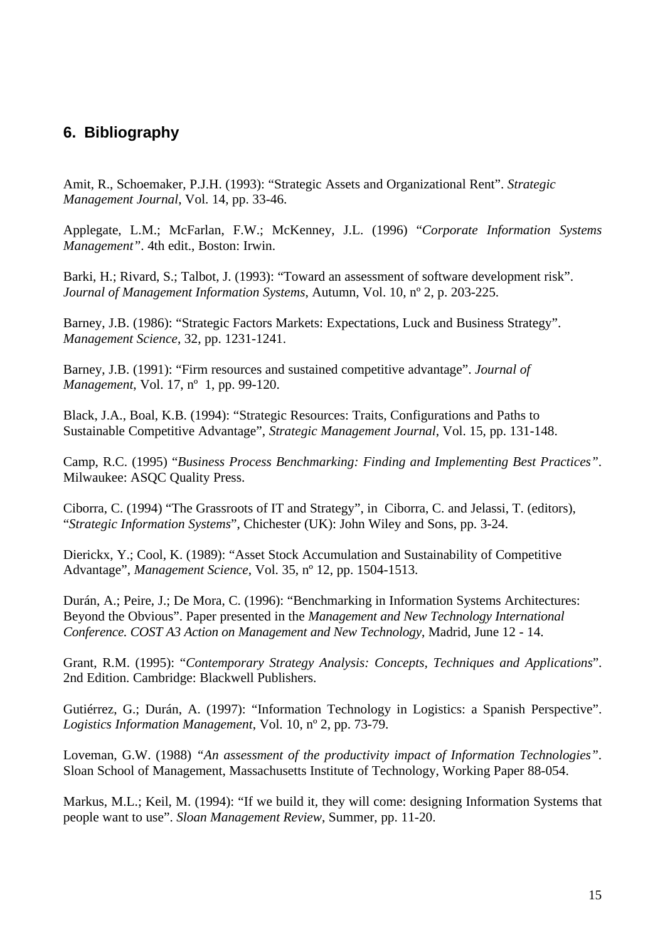# **6. Bibliography**

Amit, R., Schoemaker, P.J.H. (1993): "Strategic Assets and Organizational Rent". *Strategic Management Journal*, Vol. 14, pp. 33-46.

Applegate, L.M.; McFarlan, F.W.; McKenney, J.L. (1996) "*Corporate Information Systems Management"*. 4th edit., Boston: Irwin.

Barki, H.; Rivard, S.; Talbot, J. (1993): "Toward an assessment of software development risk". *Journal of Management Information Systems*, Autumn, Vol. 10, nº 2, p. 203-225.

Barney, J.B. (1986): "Strategic Factors Markets: Expectations, Luck and Business Strategy". *Management Science*, 32, pp. 1231-1241.

Barney, J.B. (1991): "Firm resources and sustained competitive advantage". *Journal of Management*, Vol. 17, nº 1, pp. 99-120.

Black, J.A., Boal, K.B. (1994): "Strategic Resources: Traits, Configurations and Paths to Sustainable Competitive Advantage", *Strategic Management Journal*, Vol. 15, pp. 131-148.

Camp, R.C. (1995) "*Business Process Benchmarking: Finding and Implementing Best Practices"*. Milwaukee: ASQC Quality Press.

Ciborra, C. (1994) "The Grassroots of IT and Strategy", in Ciborra, C. and Jelassi, T. (editors), "*Strategic Information Systems*", Chichester (UK): John Wiley and Sons, pp. 3-24.

Dierickx, Y.; Cool, K. (1989): "Asset Stock Accumulation and Sustainability of Competitive Advantage", *Management Science*, Vol. 35, nº 12, pp. 1504-1513.

Durán, A.; Peire, J.; De Mora, C. (1996): "Benchmarking in Information Systems Architectures: Beyond the Obvious". Paper presented in the *Management and New Technology International Conference. COST A3 Action on Management and New Technology*, Madrid, June 12 - 14.

Grant, R.M. (1995): "*Contemporary Strategy Analysis: Concepts, Techniques and Applications*". 2nd Edition. Cambridge: Blackwell Publishers.

Gutiérrez, G.; Durán, A. (1997): "Information Technology in Logistics: a Spanish Perspective". *Logistics Information Management*, Vol. 10, nº 2, pp. 73-79.

Loveman, G.W. (1988) *"An assessment of the productivity impact of Information Technologies"*. Sloan School of Management, Massachusetts Institute of Technology, Working Paper 88-054.

Markus, M.L.; Keil, M. (1994): "If we build it, they will come: designing Information Systems that people want to use". *Sloan Management Review*, Summer, pp. 11-20.